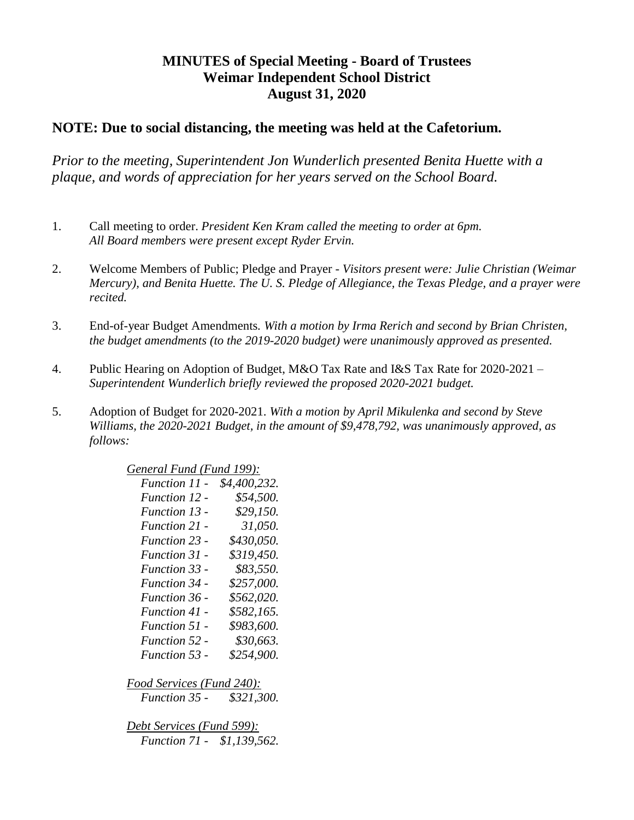## **MINUTES of Special Meeting - Board of Trustees Weimar Independent School District August 31, 2020**

## **NOTE: Due to social distancing, the meeting was held at the Cafetorium.**

*Prior to the meeting, Superintendent Jon Wunderlich presented Benita Huette with a plaque, and words of appreciation for her years served on the School Board.*

- 1. Call meeting to order. *President Ken Kram called the meeting to order at 6pm. All Board members were present except Ryder Ervin.*
- 2. Welcome Members of Public; Pledge and Prayer *Visitors present were: Julie Christian (Weimar Mercury), and Benita Huette. The U. S. Pledge of Allegiance, the Texas Pledge, and a prayer were recited.*
- 3. End-of-year Budget Amendments*. With a motion by Irma Rerich and second by Brian Christen, the budget amendments (to the 2019-2020 budget) were unanimously approved as presented.*
- 4. Public Hearing on Adoption of Budget, M&O Tax Rate and I&S Tax Rate for 2020-2021 *Superintendent Wunderlich briefly reviewed the proposed 2020-2021 budget.*
- 5. Adoption of Budget for 2020-2021. *With a motion by April Mikulenka and second by Steve Williams, the 2020-2021 Budget, in the amount of \$9,478,792, was unanimously approved, as follows:*

| General Fund (Fund 199):          |              |
|-----------------------------------|--------------|
| <i>Function 11 -</i>              | \$4,400,232. |
| <b>Function 12 -</b>              | \$54,500.    |
| Function 13 -                     | \$29,150.    |
| Function 21 -                     | 31,050.      |
| Function 23 -                     | \$430,050.   |
| <b>Function 31 -</b>              | \$319,450.   |
| Function 33 -                     | \$83,550.    |
| Function 34 -                     | \$257,000.   |
| <b>Function 36 -</b>              | \$562,020.   |
| <b>Function 41 -</b>              | \$582,165.   |
| <b>Function 51 -</b>              | \$983,600.   |
| <b>Function 52 -</b>              | \$30,663.    |
| Function 53 -                     | \$254,900.   |
|                                   |              |
| <u>Food Services (Fund 240):</u>  |              |
| Function 35 - \$321,300.          |              |
|                                   |              |
| <u> Debt Services (Fund 599):</u> |              |
| Function 71 - \$1,139,562.        |              |
|                                   |              |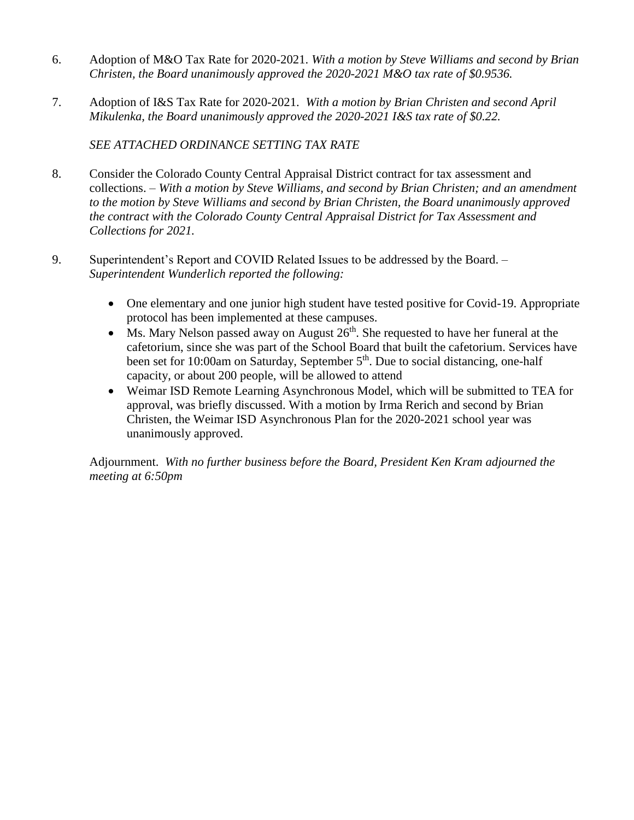- 6. Adoption of M&O Tax Rate for 2020-2021. *With a motion by Steve Williams and second by Brian Christen, the Board unanimously approved the 2020-2021 M&O tax rate of \$0.9536.*
- 7. Adoption of I&S Tax Rate for 2020-2021. *With a motion by Brian Christen and second April Mikulenka, the Board unanimously approved the 2020-2021 I&S tax rate of \$0.22.*

*SEE ATTACHED ORDINANCE SETTING TAX RATE*

- 8. Consider the Colorado County Central Appraisal District contract for tax assessment and collections. – *With a motion by Steve Williams, and second by Brian Christen; and an amendment to the motion by Steve Williams and second by Brian Christen, the Board unanimously approved the contract with the Colorado County Central Appraisal District for Tax Assessment and Collections for 2021.*
- 9. Superintendent's Report and COVID Related Issues to be addressed by the Board. *Superintendent Wunderlich reported the following:*
	- One elementary and one junior high student have tested positive for Covid-19. Appropriate protocol has been implemented at these campuses.
	- Ms. Mary Nelson passed away on August  $26<sup>th</sup>$ . She requested to have her funeral at the cafetorium, since she was part of the School Board that built the cafetorium. Services have been set for 10:00am on Saturday, September 5<sup>th</sup>. Due to social distancing, one-half capacity, or about 200 people, will be allowed to attend
	- Weimar ISD Remote Learning Asynchronous Model, which will be submitted to TEA for approval, was briefly discussed. With a motion by Irma Rerich and second by Brian Christen, the Weimar ISD Asynchronous Plan for the 2020-2021 school year was unanimously approved.

Adjournment. *With no further business before the Board, President Ken Kram adjourned the meeting at 6:50pm*